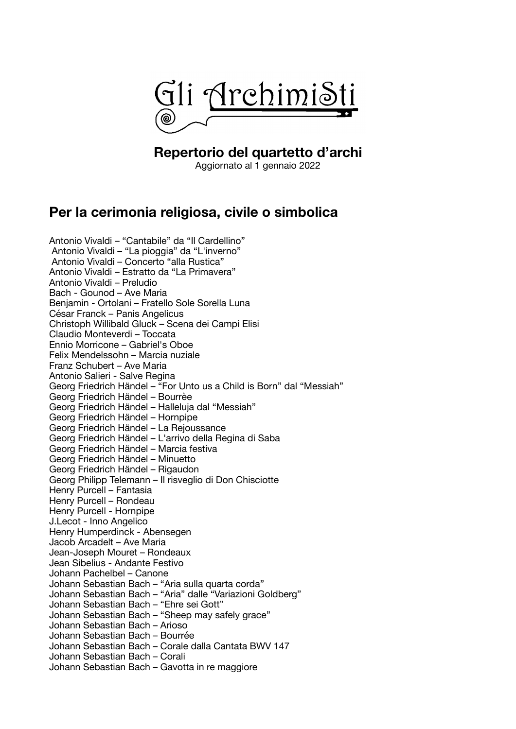

#### **Repertorio del quartetto d'archi**

Aggiornato al 1 gennaio 2022

# **Per la cerimonia religiosa, civile o simbolica**

Antonio Vivaldi – "Cantabile" da "Il Cardellino" Antonio Vivaldi – "La pioggia" da "L'inverno" Antonio Vivaldi – Concerto "alla Rustica" Antonio Vivaldi – Estratto da "La Primavera" Antonio Vivaldi – Preludio Bach - Gounod – Ave Maria Benjamin - Ortolani – Fratello Sole Sorella Luna César Franck – Panis Angelicus Christoph Willibald Gluck – Scena dei Campi Elisi Claudio Monteverdi – Toccata Ennio Morricone – Gabriel's Oboe Felix Mendelssohn – Marcia nuziale Franz Schubert – Ave Maria Antonio Salieri - Salve Regina Georg Friedrich Händel – "For Unto us a Child is Born" dal "Messiah" Georg Friedrich Händel – Bourrèe Georg Friedrich Händel – Halleluja dal "Messiah" Georg Friedrich Händel – Hornpipe Georg Friedrich Händel – La Rejoussance Georg Friedrich Händel – L'arrivo della Regina di Saba Georg Friedrich Händel – Marcia festiva Georg Friedrich Händel – Minuetto Georg Friedrich Händel – Rigaudon Georg Philipp Telemann – Il risveglio di Don Chisciotte Henry Purcell – Fantasia Henry Purcell – Rondeau Henry Purcell - Hornpipe J.Lecot - Inno Angelico Henry Humperdinck - Abensegen Jacob Arcadelt – Ave Maria Jean-Joseph Mouret – Rondeaux Jean Sibelius - Andante Festivo Johann Pachelbel – Canone Johann Sebastian Bach – "Aria sulla quarta corda" Johann Sebastian Bach – "Aria" dalle "Variazioni Goldberg" Johann Sebastian Bach – "Ehre sei Gott" Johann Sebastian Bach – "Sheep may safely grace" Johann Sebastian Bach – Arioso Johann Sebastian Bach – Bourrée Johann Sebastian Bach – Corale dalla Cantata BWV 147 Johann Sebastian Bach – Corali Johann Sebastian Bach – Gavotta in re maggiore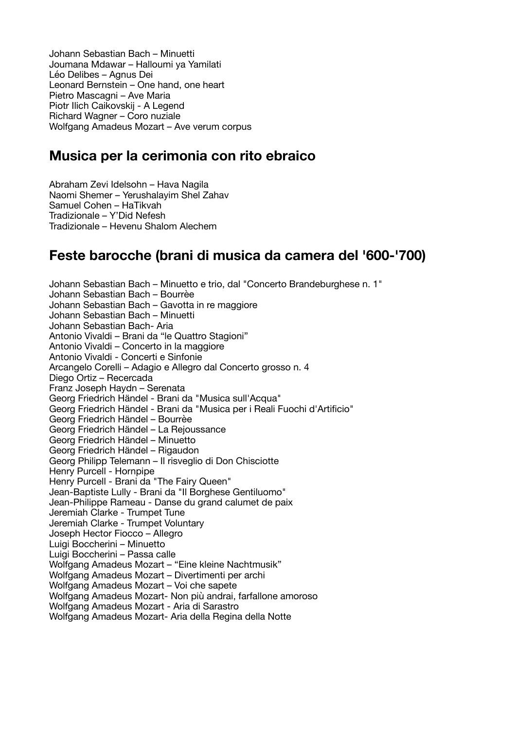Johann Sebastian Bach – Minuetti Joumana Mdawar – Halloumi ya Yamilati Léo Delibes – Agnus Dei Leonard Bernstein – One hand, one heart Pietro Mascagni – Ave Maria Piotr Ilich Caikovskij - A Legend Richard Wagner – Coro nuziale Wolfgang Amadeus Mozart – Ave verum corpus

# **Musica per la cerimonia con rito ebraico**

Abraham Zevi Idelsohn – Hava Nagila Naomi Shemer – Yerushalayim Shel Zahav Samuel Cohen – HaTikvah Tradizionale – Y'Did Nefesh Tradizionale – Hevenu Shalom Alechem

### **Feste barocche (brani di musica da camera del '600-'700)**

Johann Sebastian Bach – Minuetto e trio, dal "Concerto Brandeburghese n. 1" Johann Sebastian Bach – Bourrèe Johann Sebastian Bach – Gavotta in re maggiore Johann Sebastian Bach – Minuetti Johann Sebastian Bach- Aria Antonio Vivaldi – Brani da "le Quattro Stagioni" Antonio Vivaldi – Concerto in la maggiore Antonio Vivaldi - Concerti e Sinfonie Arcangelo Corelli – Adagio e Allegro dal Concerto grosso n. 4 Diego Ortiz – Recercada Franz Joseph Haydn – Serenata Georg Friedrich Händel - Brani da "Musica sull'Acqua" Georg Friedrich Händel - Brani da "Musica per i Reali Fuochi d'Artificio" Georg Friedrich Händel – Bourrèe Georg Friedrich Händel – La Rejoussance Georg Friedrich Händel – Minuetto Georg Friedrich Händel – Rigaudon Georg Philipp Telemann – Il risveglio di Don Chisciotte Henry Purcell - Hornpipe Henry Purcell - Brani da "The Fairy Queen" Jean-Baptiste Lully - Brani da "Il Borghese Gentiluomo" Jean-Philippe Rameau - Danse du grand calumet de paix Jeremiah Clarke - Trumpet Tune Jeremiah Clarke - Trumpet Voluntary Joseph Hector Fiocco – Allegro Luigi Boccherini – Minuetto Luigi Boccherini – Passa calle Wolfgang Amadeus Mozart – "Eine kleine Nachtmusik" Wolfgang Amadeus Mozart – Divertimenti per archi Wolfgang Amadeus Mozart – Voi che sapete Wolfgang Amadeus Mozart- Non più andrai, farfallone amoroso Wolfgang Amadeus Mozart - Aria di Sarastro Wolfgang Amadeus Mozart- Aria della Regina della Notte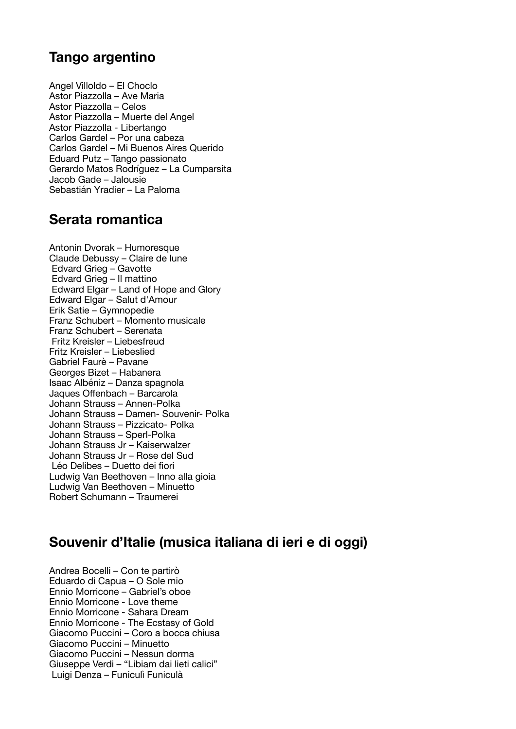### **Tango argentino**

Angel Villoldo – El Choclo Astor Piazzolla – Ave Maria Astor Piazzolla – Celos Astor Piazzolla – Muerte del Angel Astor Piazzolla - Libertango Carlos Gardel – Por una cabeza Carlos Gardel – Mi Buenos Aires Querido Eduard Putz – Tango passionato Gerardo Matos Rodríguez – La Cumparsita Jacob Gade – Jalousie Sebastián Yradier – La Paloma

### **Serata romantica**

Antonin Dvorak – Humoresque Claude Debussy – Claire de lune Edvard Grieg – Gavotte Edvard Grieg – Il mattino Edward Elgar – Land of Hope and Glory Edward Elgar – Salut d'Amour Erik Satie – Gymnopedie Franz Schubert – Momento musicale Franz Schubert – Serenata Fritz Kreisler – Liebesfreud Fritz Kreisler – Liebeslied Gabriel Faurè – Pavane Georges Bizet – Habanera Isaac Albéniz – Danza spagnola Jaques Offenbach – Barcarola Johann Strauss – Annen-Polka Johann Strauss – Damen- Souvenir- Polka Johann Strauss – Pizzicato- Polka Johann Strauss – Sperl-Polka Johann Strauss Jr – Kaiserwalzer Johann Strauss Jr – Rose del Sud Léo Delibes – Duetto dei fiori Ludwig Van Beethoven – Inno alla gioia Ludwig Van Beethoven – Minuetto Robert Schumann – Traumerei

# **Souvenir d'Italie (musica italiana di ieri e di oggi)**

Andrea Bocelli – Con te partirò Eduardo di Capua – O Sole mio Ennio Morricone – Gabriel's oboe Ennio Morricone - Love theme Ennio Morricone - Sahara Dream Ennio Morricone - The Ecstasy of Gold Giacomo Puccini – Coro a bocca chiusa Giacomo Puccini – Minuetto Giacomo Puccini – Nessun dorma Giuseppe Verdi – "Libiam dai lieti calici" Luigi Denza – Funiculì Funiculà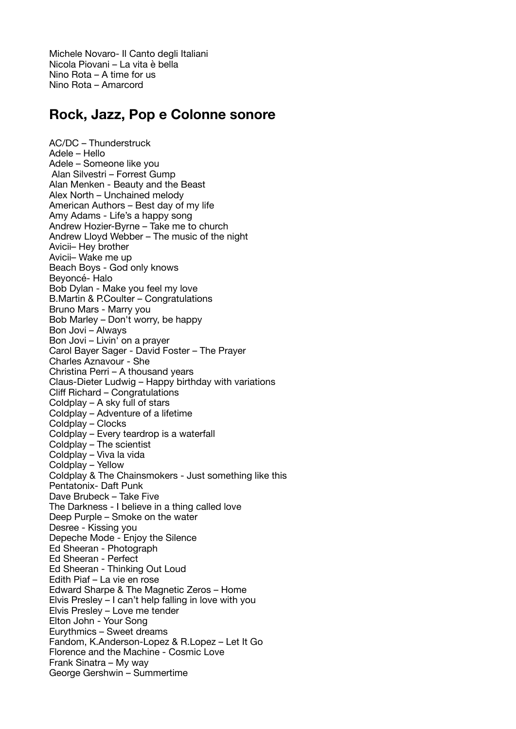Michele Novaro- Il Canto degli Italiani Nicola Piovani – La vita è bella Nino Rota – A time for us Nino Rota – Amarcord

### **Rock, Jazz, Pop e Colonne sonore**

AC/DC – Thunderstruck Adele – Hello Adele – Someone like you Alan Silvestri – Forrest Gump Alan Menken - Beauty and the Beast Alex North – Unchained melody American Authors – Best day of my life Amy Adams - Life's a happy song Andrew Hozier-Byrne – Take me to church Andrew Lloyd Webber – The music of the night Avicii– Hey brother Avicii– Wake me up Beach Boys - God only knows Beyoncé- Halo Bob Dylan - Make you feel my love B.Martin & P.Coulter – Congratulations Bruno Mars - Marry you Bob Marley – Don't worry, be happy Bon Jovi – Always Bon Jovi – Livin' on a prayer Carol Bayer Sager - David Foster – The Prayer Charles Aznavour - She Christina Perri – A thousand years Claus-Dieter Ludwig – Happy birthday with variations Cliff Richard – Congratulations Coldplay – A sky full of stars Coldplay – Adventure of a lifetime Coldplay – Clocks Coldplay – Every teardrop is a waterfall Coldplay – The scientist Coldplay – Viva la vida Coldplay – Yellow Coldplay & The Chainsmokers - Just something like this Pentatonix- Daft Punk Dave Brubeck – Take Five The Darkness - I believe in a thing called love Deep Purple – Smoke on the water Desree - Kissing you Depeche Mode - Enjoy the Silence Ed Sheeran - Photograph Ed Sheeran - Perfect Ed Sheeran - Thinking Out Loud Edith Piaf – La vie en rose Edward Sharpe & The Magnetic Zeros – Home Elvis Presley – I can't help falling in love with you Elvis Presley – Love me tender Elton John - Your Song Eurythmics – Sweet dreams Fandom, K.Anderson-Lopez & R.Lopez – Let It Go Florence and the Machine - Cosmic Love Frank Sinatra – My way George Gershwin – Summertime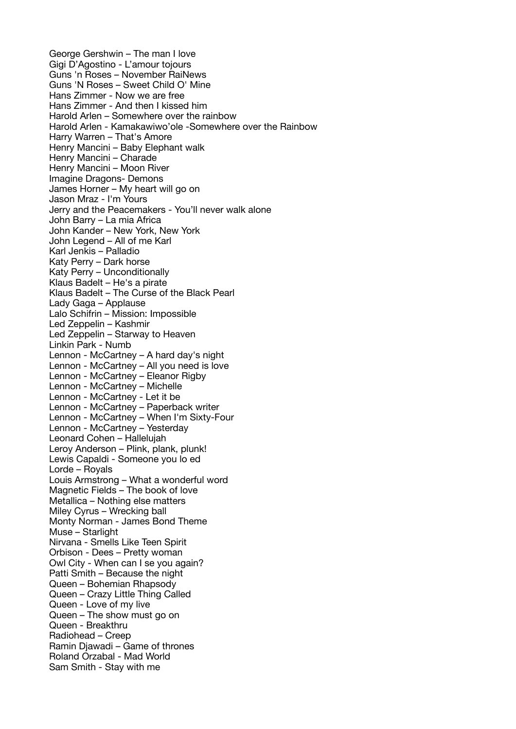George Gershwin – The man I love Gigi D'Agostino - L'amour tojours Guns 'n Roses – November RaiNews Guns 'N Roses – Sweet Child O' Mine Hans Zimmer - Now we are free Hans Zimmer - And then I kissed him Harold Arlen – Somewhere over the rainbow Harold Arlen - Kamakawiwo'ole -Somewhere over the Rainbow Harry Warren – That's Amore Henry Mancini – Baby Elephant walk Henry Mancini – Charade Henry Mancini – Moon River Imagine Dragons- Demons James Horner – My heart will go on Jason Mraz - I'm Yours Jerry and the Peacemakers - You'll never walk alone John Barry – La mia Africa John Kander – New York, New York John Legend – All of me Karl Karl Jenkis – Palladio Katy Perry – Dark horse Katy Perry – Unconditionally Klaus Badelt – He's a pirate Klaus Badelt – The Curse of the Black Pearl Lady Gaga – Applause Lalo Schifrin – Mission: Impossible Led Zeppelin – Kashmir Led Zeppelin - Starway to Heaven Linkin Park - Numb Lennon - McCartney – A hard day's night Lennon - McCartney – All you need is love Lennon - McCartney – Eleanor Rigby Lennon - McCartney – Michelle Lennon - McCartney - Let it be Lennon - McCartney – Paperback writer Lennon - McCartney – When I'm Sixty-Four Lennon - McCartney – Yesterday Leonard Cohen – Hallelujah Leroy Anderson – Plink, plank, plunk! Lewis Capaldi - Someone you lo ed Lorde – Royals Louis Armstrong – What a wonderful word Magnetic Fields – The book of love Metallica – Nothing else matters Miley Cyrus – Wrecking ball Monty Norman - James Bond Theme Muse – Starlight Nirvana - Smells Like Teen Spirit Orbison - Dees – Pretty woman Owl City - When can I se you again? Patti Smith – Because the night Queen – Bohemian Rhapsody Queen – Crazy Little Thing Called Queen - Love of my live Queen – The show must go on Queen - Breakthru Radiohead – Creep Ramin Djawadi – Game of thrones Roland Orzabal - Mad World Sam Smith - Stay with me